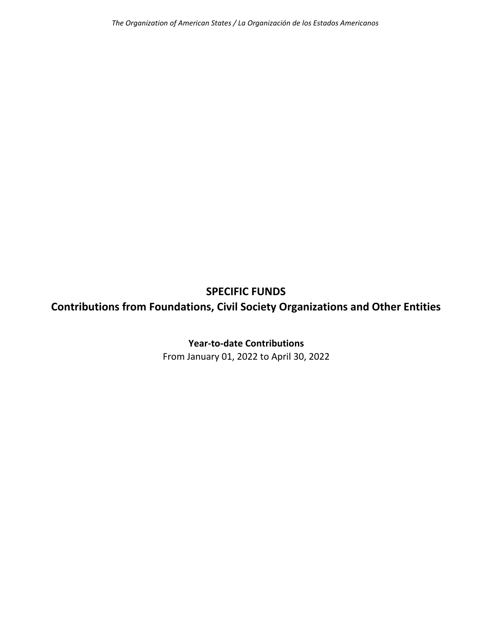## **SPECIFIC FUNDS Contributions from Foundations, Civil Society Organizations and Other Entities**

## **Year‐to‐date Contributions**

From January 01, 2022 to April 30, 2022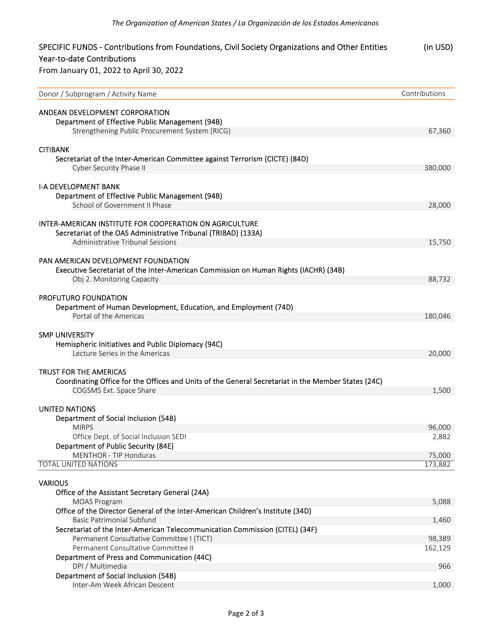| SPECIFIC FUNDS - Contributions from Foundations, Civil Society Organizations and Other Entities        | (in USD)      |
|--------------------------------------------------------------------------------------------------------|---------------|
| Year-to-date Contributions                                                                             |               |
| From January 01, 2022 to April 30, 2022                                                                |               |
| Donor / Subprogram / Activity Name                                                                     | Contributions |
| ANDEAN DEVELOPMENT CORPORATION                                                                         |               |
| Department of Effective Public Management (94B)                                                        |               |
| Strengthening Public Procurement System (RICG)                                                         | 67,360        |
|                                                                                                        |               |
| <b>CITIBANK</b>                                                                                        |               |
| Secretariat of the Inter-American Committee against Terrorism (CICTE) (84D)<br>Cyber Security Phase II | 380,000       |
|                                                                                                        |               |
| <b>I-A DEVELOPMENT BANK</b>                                                                            |               |
| Department of Effective Public Management (94B)                                                        |               |
| School of Government II Phase                                                                          | 28,000        |
| <b>INTER-AMERICAN INSTITUTE FOR COOPERATION ON AGRICULTURE</b>                                         |               |
| Secretariat of the OAS Administrative Tribunal (TRIBAD) (133A)                                         |               |
| Administrative Tribunal Sessions                                                                       | 15,750        |
|                                                                                                        |               |
| PAN AMERICAN DEVELOPMENT FOUNDATION                                                                    |               |
| Executive Secretariat of the Inter-American Commission on Human Rights (IACHR) (34B)                   |               |
| Obj 2. Monitoring Capacity                                                                             | 88,732        |
| <b>PROFUTURO FOUNDATION</b>                                                                            |               |
| Department of Human Development, Education, and Employment (74D)                                       |               |
| Portal of the Americas                                                                                 | 180,046       |
|                                                                                                        |               |
| <b>SMP UNIVERSITY</b>                                                                                  |               |
| Hemispheric Initiatives and Public Diplomacy (94C)                                                     |               |
| Lecture Series in the Americas                                                                         | 20,000        |
| <b>TRUST FOR THE AMERICAS</b>                                                                          |               |
| Coordinating Office for the Offices and Units of the General Secretariat in the Member States (24C)    |               |
| COGSMS Ext. Space Share                                                                                | 1,500         |
|                                                                                                        |               |
| <b>UNITED NATIONS</b>                                                                                  |               |
| Department of Social Inclusion (54B)<br><b>MIRPS</b>                                                   | 96,000        |
| Office Dept. of Social Inclusion SEDI                                                                  | 2,882         |
| Department of Public Security (84E)                                                                    |               |
| MENTHOR - TIP Honduras                                                                                 | 75,000        |
| <b>TOTAL UNITED NATIONS</b>                                                                            | 173,882       |
|                                                                                                        |               |
| <b>VARIOUS</b><br>Office of the Assistant Secretary General (24A)                                      |               |
| <b>MOAS Program</b>                                                                                    | 5,088         |
| Office of the Director General of the Inter-American Children's Institute (34D)                        |               |
| <b>Basic Patrimonial Subfund</b>                                                                       | 1,460         |
| Secretariat of the Inter-American Telecommunication Commission (CITEL) (34F)                           |               |
| Permanent Consultative Committee I (TICT)                                                              | 98,389        |
| Permanent Consultative Committee II                                                                    | 162,129       |
| Department of Press and Communication (44C)<br>DPI / Multimedia                                        | 966           |
|                                                                                                        |               |

Inter‐Am Week African Descent 1,000

Department of Social Inclusion (54B)